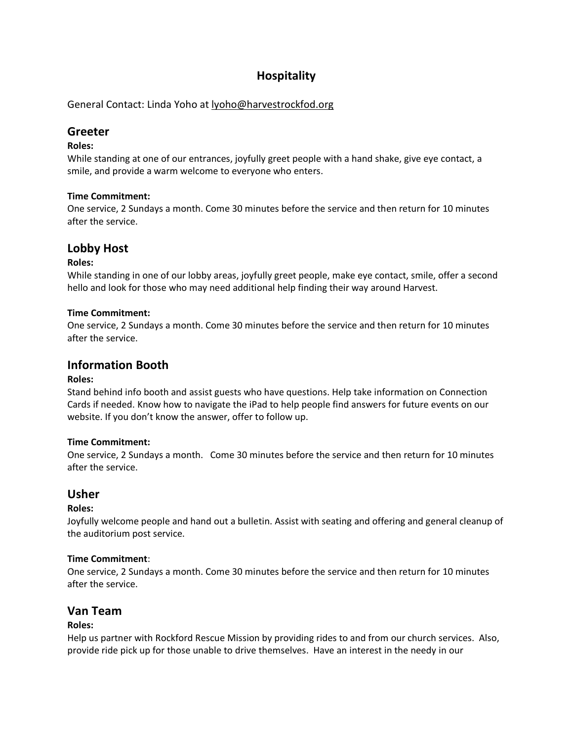# **Hospitality**

General Contact: Linda Yoho at [lyoho@harvestrockfod.org](mailto:lyoho@harvestrockfod.org)

## **Greeter**

### **Roles:**

While standing at one of our entrances, joyfully greet people with a hand shake, give eye contact, a smile, and provide a warm welcome to everyone who enters.

### **Time Commitment:**

One service, 2 Sundays a month. Come 30 minutes before the service and then return for 10 minutes after the service.

# **Lobby Host**

### **Roles:**

While standing in one of our lobby areas, joyfully greet people, make eye contact, smile, offer a second hello and look for those who may need additional help finding their way around Harvest.

### **Time Commitment:**

One service, 2 Sundays a month. Come 30 minutes before the service and then return for 10 minutes after the service.

# **Information Booth**

#### **Roles:**

Stand behind info booth and assist guests who have questions. Help take information on Connection Cards if needed. Know how to navigate the iPad to help people find answers for future events on our website. If you don't know the answer, offer to follow up.

#### **Time Commitment:**

One service, 2 Sundays a month. Come 30 minutes before the service and then return for 10 minutes after the service.

### **Usher**

### **Roles:**

Joyfully welcome people and hand out a bulletin. Assist with seating and offering and general cleanup of the auditorium post service.

#### **Time Commitment**:

One service, 2 Sundays a month. Come 30 minutes before the service and then return for 10 minutes after the service.

# **Van Team**

### **Roles:**

Help us partner with Rockford Rescue Mission by providing rides to and from our church services. Also, provide ride pick up for those unable to drive themselves. Have an interest in the needy in our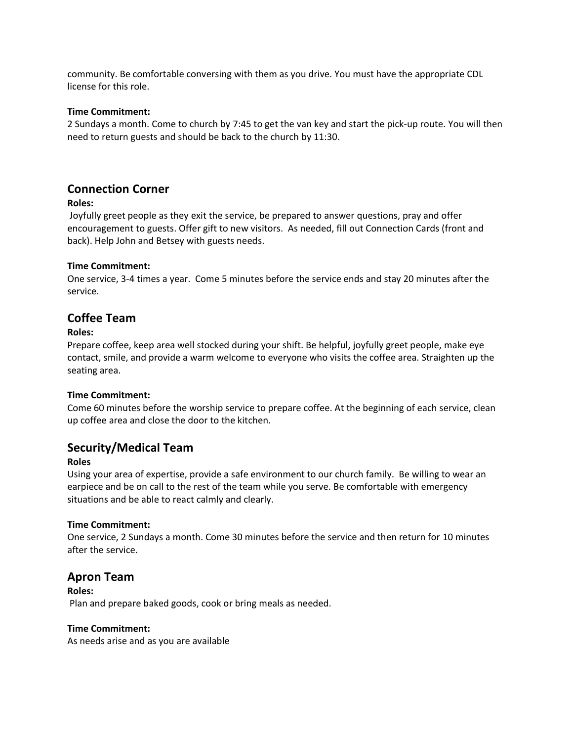community. Be comfortable conversing with them as you drive. You must have the appropriate CDL license for this role.

#### **Time Commitment:**

2 Sundays a month. Come to church by 7:45 to get the van key and start the pick-up route. You will then need to return guests and should be back to the church by 11:30.

## **Connection Corner**

#### **Roles:**

Joyfully greet people as they exit the service, be prepared to answer questions, pray and offer encouragement to guests. Offer gift to new visitors. As needed, fill out Connection Cards (front and back). Help John and Betsey with guests needs.

#### **Time Commitment:**

One service, 3-4 times a year. Come 5 minutes before the service ends and stay 20 minutes after the service.

## **Coffee Team**

#### **Roles:**

Prepare coffee, keep area well stocked during your shift. Be helpful, joyfully greet people, make eye contact, smile, and provide a warm welcome to everyone who visits the coffee area. Straighten up the seating area.

#### **Time Commitment:**

Come 60 minutes before the worship service to prepare coffee. At the beginning of each service, clean up coffee area and close the door to the kitchen.

### **Security/Medical Team**

#### **Roles**

Using your area of expertise, provide a safe environment to our church family. Be willing to wear an earpiece and be on call to the rest of the team while you serve. Be comfortable with emergency situations and be able to react calmly and clearly.

#### **Time Commitment:**

One service, 2 Sundays a month. Come 30 minutes before the service and then return for 10 minutes after the service.

### **Apron Team**

**Roles:** Plan and prepare baked goods, cook or bring meals as needed.

#### **Time Commitment:**

As needs arise and as you are available